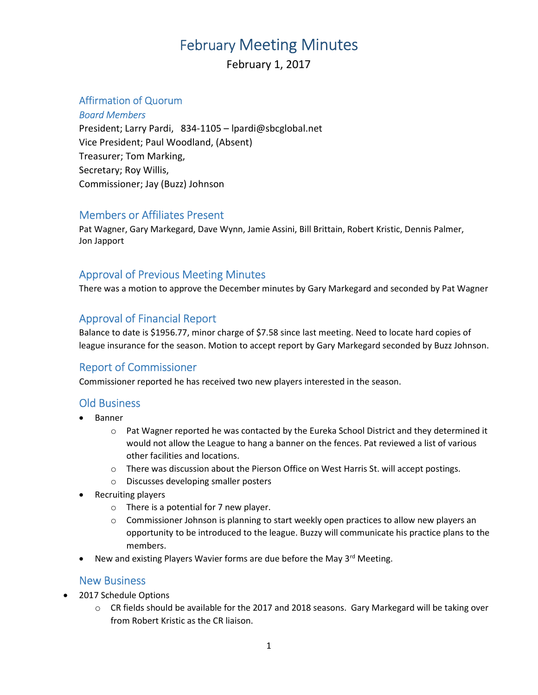# February Meeting Minutes

February 1, 2017

#### Affirmation of Quorum

Board Members President; Larry Pardi, 834-1105 – lpardi@sbcglobal.net Vice President; Paul Woodland, (Absent) Treasurer; Tom Marking, Secretary; Roy Willis, Commissioner; Jay (Buzz) Johnson

#### Members or Affiliates Present

Pat Wagner, Gary Markegard, Dave Wynn, Jamie Assini, Bill Brittain, Robert Kristic, Dennis Palmer, Jon Japport

### Approval of Previous Meeting Minutes

There was a motion to approve the December minutes by Gary Markegard and seconded by Pat Wagner

### Approval of Financial Report

Balance to date is \$1956.77, minor charge of \$7.58 since last meeting. Need to locate hard copies of league insurance for the season. Motion to accept report by Gary Markegard seconded by Buzz Johnson.

## Report of Commissioner

Commissioner reported he has received two new players interested in the season.

#### Old Business

- Banner
	- $\circ$  Pat Wagner reported he was contacted by the Eureka School District and they determined it would not allow the League to hang a banner on the fences. Pat reviewed a list of various other facilities and locations.
	- $\circ$  There was discussion about the Pierson Office on West Harris St. will accept postings.
	- o Discusses developing smaller posters
- Recruiting players
	- o There is a potential for 7 new player.
	- $\circ$  Commissioner Johnson is planning to start weekly open practices to allow new players an opportunity to be introduced to the league. Buzzy will communicate his practice plans to the members.
- New and existing Players Wavier forms are due before the May 3<sup>rd</sup> Meeting.

#### New Business

- 2017 Schedule Options
	- $\circ$  CR fields should be available for the 2017 and 2018 seasons. Gary Markegard will be taking over from Robert Kristic as the CR liaison.